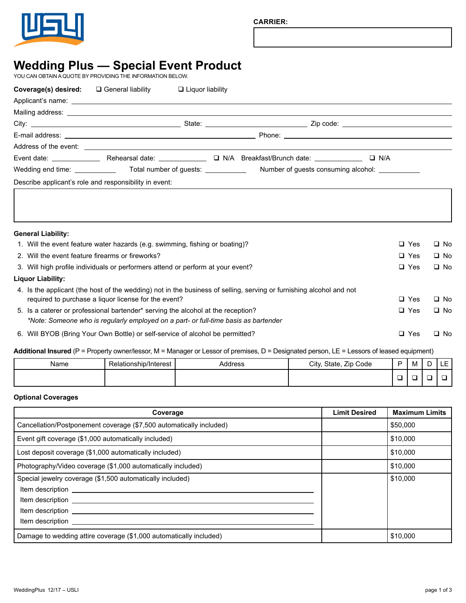

# **Wedding Plus — Special Event Product**

YOU CAN OBTAIN A QUOTE BY PROVIDING THE INFORMATION BELOW.

| Coverage(s) desired: | $\square$ General liability                                                   | $\Box$ Liquor liability |  |                                                                                                       |  |
|----------------------|-------------------------------------------------------------------------------|-------------------------|--|-------------------------------------------------------------------------------------------------------|--|
|                      |                                                                               |                         |  |                                                                                                       |  |
|                      |                                                                               |                         |  |                                                                                                       |  |
|                      |                                                                               |                         |  |                                                                                                       |  |
|                      |                                                                               |                         |  |                                                                                                       |  |
|                      |                                                                               |                         |  |                                                                                                       |  |
|                      |                                                                               |                         |  | Event date: <u>Q N/A Breakfast/Brunch date:</u> Q N/A Communicate: Q N/A Breakfast/Brunch date: Q N/A |  |
|                      | Wedding end time: Total number of guests: Number of guests consuming alcohol: |                         |  |                                                                                                       |  |
|                      | Describe applicant's role and responsibility in event:                        |                         |  |                                                                                                       |  |
|                      |                                                                               |                         |  |                                                                                                       |  |
|                      |                                                                               |                         |  |                                                                                                       |  |
|                      |                                                                               |                         |  |                                                                                                       |  |

| <b>General Liability:</b>                                                                                                                                                   |            |              |
|-----------------------------------------------------------------------------------------------------------------------------------------------------------------------------|------------|--------------|
| 1. Will the event feature water hazards (e.g. swimming, fishing or boating)?                                                                                                | $\Box$ Yes | $\square$ No |
| 2. Will the event feature firearms or fireworks?                                                                                                                            | $\Box$ Yes | $\square$ No |
| 3. Will high profile individuals or performers attend or perform at your event?                                                                                             | $\Box$ Yes | $\square$ No |
| Liguor Liability:                                                                                                                                                           |            |              |
| 4. Is the applicant (the host of the wedding) not in the business of selling, serving or furnishing alcohol and not<br>required to purchase a liquor license for the event? | $\Box$ Yes | $\square$ No |
| 5. Is a caterer or professional bartender* serving the alcohol at the reception?<br>*Note: Someone who is regularly employed on a part- or full-time basis as bartender     | $\Box$ Yes | $\square$ No |
| 6. Will BYOB (Bring Your Own Bottle) or self-service of alcohol be permitted?                                                                                               | $\Box$ Yes | $\Box$ No    |

# Additional Insured (P = Property owner/lessor, M = Manager or Lessor of premises, D = Designated person, LE = Lessors of leased equipment)

| Name | -<br>Relationship/Interest | ddress، | Zip Code<br>City,<br>State, | M | . <b>.</b><br>-<br>-- |
|------|----------------------------|---------|-----------------------------|---|-----------------------|
|      |                            |         |                             |   |                       |

## **Optional Coverages**

| Coverage                                                                                                                                                                                                                                                                                                              | <b>Limit Desired</b> | <b>Maximum Limits</b> |
|-----------------------------------------------------------------------------------------------------------------------------------------------------------------------------------------------------------------------------------------------------------------------------------------------------------------------|----------------------|-----------------------|
| Cancellation/Postponement coverage (\$7,500 automatically included)                                                                                                                                                                                                                                                   |                      | \$50,000              |
| Event gift coverage (\$1,000 automatically included)                                                                                                                                                                                                                                                                  |                      | \$10,000              |
| Lost deposit coverage (\$1,000 automatically included)                                                                                                                                                                                                                                                                |                      | \$10,000              |
| Photography/Video coverage (\$1,000 automatically included)                                                                                                                                                                                                                                                           |                      | \$10,000              |
| Special jewelry coverage (\$1,500 automatically included)<br>Item description <u>example and the set of the set of the set of the set of the set of the set of the set of the set of the set of the set of the set of the set of the set of the set of the set of the set of the set of the s</u><br>Item description |                      | \$10,000              |
| Damage to wedding attire coverage (\$1,000 automatically included)                                                                                                                                                                                                                                                    |                      | \$10,000              |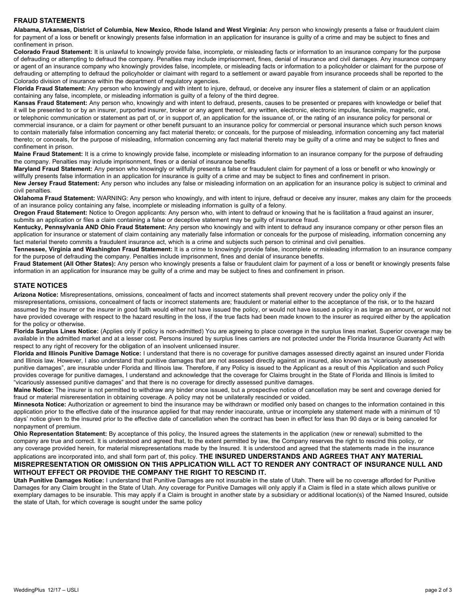## **FRAUD STATEMENTS**

**Alabama, Arkansas, District of Columbia, New Mexico, Rhode Island and West Virginia:** Any person who knowingly presents a false or fraudulent claim for payment of a loss or benefit or knowingly presents false information in an application for insurance is guilty of a crime and may be subject to fines and confinement in prison.

**Colorado Fraud Statement:** It is unlawful to knowingly provide false, incomplete, or misleading facts or information to an insurance company for the purpose of defrauding or attempting to defraud the company. Penalties may include imprisonment, fines, denial of insurance and civil damages. Any insurance company or agent of an insurance company who knowingly provides false, incomplete, or misleading facts or information to a policyholder or claimant for the purpose of defrauding or attempting to defraud the policyholder or claimant with regard to a settlement or award payable from insurance proceeds shall be reported to the Colorado division of insurance within the department of regulatory agencies.

**Florida Fraud Statement:** Any person who knowingly and with intent to injure, defraud, or deceive any insurer files a statement of claim or an application containing any false, incomplete, or misleading information is guilty of a felony of the third degree.

**Kansas Fraud Statement:** Any person who, knowingly and with intent to defraud, presents, causes to be presented or prepares with knowledge or belief that it will be presented to or by an insurer, purported insurer, broker or any agent thereof, any written, electronic, electronic impulse, facsimile, magnetic, oral, or telephonic communication or statement as part of, or in support of, an application for the issuance of, or the rating of an insurance policy for personal or commercial insurance, or a claim for payment or other benefit pursuant to an insurance policy for commercial or personal insurance which such person knows to contain materially false information concerning any fact material thereto; or conceals, for the purpose of misleading, information concerning any fact material thereto; or conceals, for the purpose of misleading, information concerning any fact material thereto may be guilty of a crime and may be subject to fines and confinement in prison.

**Maine Fraud Statement:** It is a crime to knowingly provide false, incomplete or misleading information to an insurance company for the purpose of defrauding the company. Penalties may include imprisonment, fines or a denial of insurance benefits

**Maryland Fraud Statement:** Any person who knowingly or willfully presents a false or fraudulent claim for payment of a loss or benefit or who knowingly or willfully presents false information in an application for insurance is guilty of a crime and may be subject to fines and confinement in prison.

**New Jersey Fraud Statement:** Any person who includes any false or misleading information on an application for an insurance policy is subject to criminal and civil penalties.

**Oklahoma Fraud Statement:** WARNING: Any person who knowingly, and with intent to injure, defraud or deceive any insurer, makes any claim for the proceeds of an insurance policy containing any false, incomplete or misleading information is guilty of a felony.

**Oregon Fraud Statement:** Notice to Oregon applicants: Any person who, with intent to defraud or knowing that he is facilitation a fraud against an insurer, submits an application or files a claim containing a false or deceptive statement may be guilty of insurance fraud.

**Kentucky, Pennsylvania AND Ohio Fraud Statement:** Any person who knowingly and with intent to defraud any insurance company or other person files an application for insurance or statement of claim containing any materially false information or conceals for the purpose of misleading, information concerning any fact material thereto commits a fraudulent insurance act, which is a crime and subjects such person to criminal and civil penalties.

**Tennessee, Virginia and Washington Fraud Statement:** It is a crime to knowingly provide false, incomplete or misleading information to an insurance company for the purpose of defrauding the company. Penalties include imprisonment, fines and denial of insurance benefits.

**Fraud Statement (All Other States):** Any person who knowingly presents a false or fraudulent claim for payment of a loss or benefit or knowingly presents false information in an application for insurance may be guilty of a crime and may be subject to fines and confinement in prison.

#### **STATE NOTICES**

**Arizona Notice:** Misrepresentations, omissions, concealment of facts and incorrect statements shall prevent recovery under the policy only if the misrepresentations, omissions, concealment of facts or incorrect statements are; fraudulent or material either to the acceptance of the risk, or to the hazard assumed by the insurer or the insurer in good faith would either not have issued the policy, or would not have issued a policy in as large an amount, or would not have provided coverage with respect to the hazard resulting in the loss, if the true facts had been made known to the insurer as required either by the application for the policy or otherwise.

**Florida Surplus Lines Notice:** (Applies only if policy is non-admitted) You are agreeing to place coverage in the surplus lines market. Superior coverage may be available in the admitted market and at a lesser cost. Persons insured by surplus lines carriers are not protected under the Florida Insurance Guaranty Act with respect to any right of recovery for the obligation of an insolvent unlicensed insurer.

**Florida and Illinois Punitive Damage Notice:** I understand that there is no coverage for punitive damages assessed directly against an insured under Florida and Illinois law. However, I also understand that punitive damages that are not assessed directly against an insured, also known as "vicariously assessed punitive damages", are insurable under Florida and Illinois law. Therefore, if any Policy is issued to the Applicant as a result of this Application and such Policy provides coverage for punitive damages, I understand and acknowledge that the coverage for Claims brought in the State of Florida and Illinois is limited to "vicariously assessed punitive damages" and that there is no coverage for directly assessed punitive damages.

**Maine Notice:** The insurer is not permitted to withdraw any binder once issued, but a prospective notice of cancellation may be sent and coverage denied for fraud or material misreresentation in obtaining coverage. A policy may not be unilaterally rescinded or voided.

**Minnesota Notice:** Authorization or agreement to bind the insurance may be withdrawn or modified only based on changes to the information contained in this application prior to the effective date of the insurance applied for that may render inaccurate, untrue or incomplete any statement made with a minimum of 10 days' notice given to the insured prior to the effective date of cancellation when the contract has been in effect for less than 90 days or is being canceled for nonpayment of premium.

**Ohio Representation Statement:** By acceptance of this policy, the Insured agrees the statements in the application (new or renewal) submitted to the company are true and correct. It is understood and agreed that, to the extent permitted by law, the Company reserves the right to rescind this policy, or any coverage provided herein, for material misrepresentations made by the Insured. It is understood and agreed that the statements made in the insurance

#### applications are incorporated into, and shall form part of, this policy. **THE INSURED UNDERSTANDS AND AGREES THAT ANY MATERIAL MISREPRESENTATION OR OMISSION ON THIS APPLICATION WILL ACT TO RENDER ANY CONTRACT OF INSURANCE NULL AND WITHOUT EFFECT OR PROVIDE THE COMPANY THE RIGHT TO RESCIND IT.**

**Utah Punitive Damages Notice:** I understand that Punitive Damages are not insurable in the state of Utah. There will be no coverage afforded for Punitive Damages for any Claim brought in the State of Utah. Any coverage for Punitive Damages will only apply if a Claim is filed in a state which allows punitive or exemplary damages to be insurable. This may apply if a Claim is brought in another state by a subsidiary or additional location(s) of the Named Insured, outside the state of Utah, for which coverage is sought under the same policy